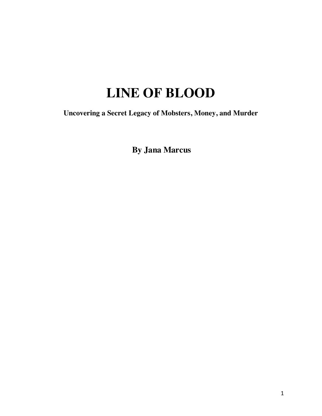## **LINE OF BLOOD**

**Uncovering a Secret Legacy of Mobsters, Money, and Murder**

**By Jana Marcus**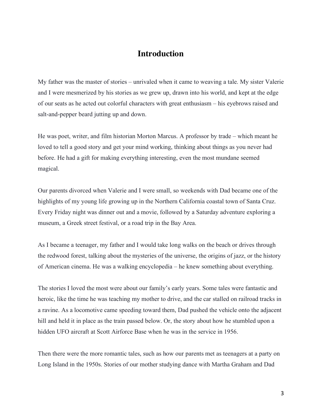## **Introduction**

My father was the master of stories – unrivaled when it came to weaving a tale. My sister Valerie and I were mesmerized by his stories as we grew up, drawn into his world, and kept at the edge of our seats as he acted out colorful characters with great enthusiasm – his eyebrows raised and salt-and-pepper beard jutting up and down.

He was poet, writer, and film historian Morton Marcus. A professor by trade – which meant he loved to tell a good story and get your mind working, thinking about things as you never had before. He had a gift for making everything interesting, even the most mundane seemed magical.

Our parents divorced when Valerie and I were small, so weekends with Dad became one of the highlights of my young life growing up in the Northern California coastal town of Santa Cruz. Every Friday night was dinner out and a movie, followed by a Saturday adventure exploring a museum, a Greek street festival, or a road trip in the Bay Area.

As I became a teenager, my father and I would take long walks on the beach or drives through the redwood forest, talking about the mysteries of the universe, the origins of jazz, or the history of American cinema. He was a walking encyclopedia – he knew something about everything.

The stories I loved the most were about our family's early years. Some tales were fantastic and heroic, like the time he was teaching my mother to drive, and the car stalled on railroad tracks in a ravine. As a locomotive came speeding toward them, Dad pushed the vehicle onto the adjacent hill and held it in place as the train passed below. Or, the story about how he stumbled upon a hidden UFO aircraft at Scott Airforce Base when he was in the service in 1956.

Then there were the more romantic tales, such as how our parents met as teenagers at a party on Long Island in the 1950s. Stories of our mother studying dance with Martha Graham and Dad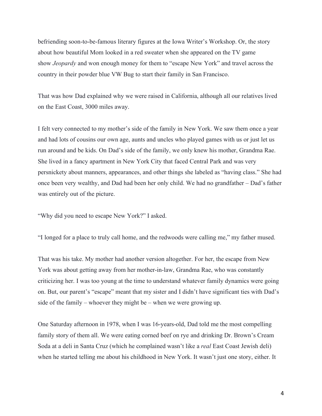befriending soon-to-be-famous literary figures at the Iowa Writer's Workshop. Or, the story about how beautiful Mom looked in a red sweater when she appeared on the TV game show *Jeopardy* and won enough money for them to "escape New York" and travel across the country in their powder blue VW Bug to start their family in San Francisco.

That was how Dad explained why we were raised in California, although all our relatives lived on the East Coast, 3000 miles away.

I felt very connected to my mother's side of the family in New York. We saw them once a year and had lots of cousins our own age, aunts and uncles who played games with us or just let us run around and be kids. On Dad's side of the family, we only knew his mother, Grandma Rae. She lived in a fancy apartment in New York City that faced Central Park and was very persnickety about manners, appearances, and other things she labeled as "having class." She had once been very wealthy, and Dad had been her only child. We had no grandfather – Dad's father was entirely out of the picture.

"Why did you need to escape New York?" I asked.

"I longed for a place to truly call home, and the redwoods were calling me," my father mused.

That was his take. My mother had another version altogether. For her, the escape from New York was about getting away from her mother-in-law, Grandma Rae, who was constantly criticizing her. I was too young at the time to understand whatever family dynamics were going on. But, our parent's "escape" meant that my sister and I didn't have significant ties with Dad's side of the family – whoever they might be – when we were growing up.

One Saturday afternoon in 1978, when I was 16-years-old, Dad told me the most compelling family story of them all. We were eating corned beef on rye and drinking Dr. Brown's Cream Soda at a deli in Santa Cruz (which he complained wasn't like a *real* East Coast Jewish deli) when he started telling me about his childhood in New York. It wasn't just one story, either. It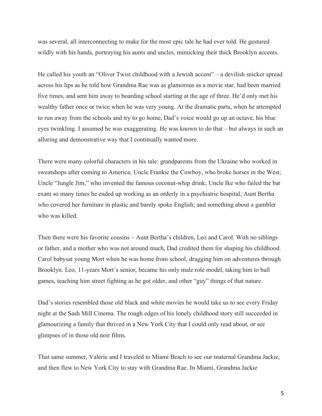was several, all interconnecting to make for the most epic tale he had ever told. He gestured wildly with his hands, portraying his aunts and uncles, mimicking their thick Brooklyn accents.

He called his youth an "Oliver Twist childhood with a Jewish accent" – a devilish snicker spread across his lips as he told how Grandma Rae was as glamorous as a movie star, had been married five times, and sent him away to boarding school starting at the age of three. He'd only met his wealthy father once or twice when he was very young. At the dramatic parts, when he attempted to run away from the schools and try to go home, Dad's voice would go up an octave, his blue eyes twinkling. I assumed he was exaggerating. He was known to do that – but always in such an alluring and demonstrative way that I continually wanted more.

There were many colorful characters in his tale: grandparents from the Ukraine who worked in sweatshops after coming to America; Uncle Frankie the Cowboy, who broke horses in the West; Uncle "Jungle Jim," who invented the famous coconut-whip drink; Uncle Ike who failed the bar exam so many times he ended up working as an orderly in a psychiatric hospital; Aunt Bertha who covered her furniture in plastic and barely spoke English; and something about a gambler who was killed.

Then there were his favorite cousins – Aunt Bertha's children, Leo and Carol. With no siblings or father, and a mother who was not around much, Dad credited them for shaping his childhood. Carol babysat young Mort when he was home from school, dragging him on adventures through Brooklyn. Leo, 11-years Mort's senior, became his only male role model, taking him to ball games, teaching him street fighting as he got older, and other "guy" things of that nature.

Dad's stories resembled those old black and white movies he would take us to see every Friday night at the Sash Mill Cinema. The rough edges of his lonely childhood story still succeeded in glamourizing a family that thrived in a New York City that I could only read about, or see glimpses of in those old noir films.

That same summer, Valerie and I traveled to Miami Beach to see our maternal Grandma Jackie, and then flew to New York City to stay with Grandma Rae. In Miami, Grandma Jackie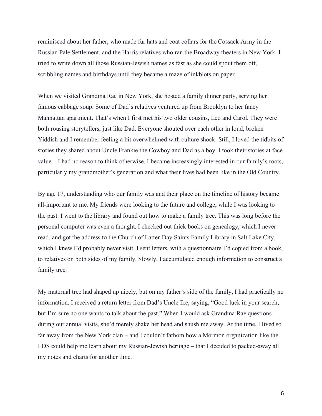reminisced about her father, who made fur hats and coat collars for the Cossack Army in the Russian Pale Settlement, and the Harris relatives who ran the Broadway theaters in New York. I tried to write down all those Russian-Jewish names as fast as she could spout them off, scribbling names and birthdays until they became a maze of inkblots on paper.

When we visited Grandma Rae in New York, she hosted a family dinner party, serving her famous cabbage soup. Some of Dad's relatives ventured up from Brooklyn to her fancy Manhattan apartment. That's when I first met his two older cousins, Leo and Carol. They were both rousing storytellers, just like Dad. Everyone shouted over each other in loud, broken Yiddish and I remember feeling a bit overwhelmed with culture shock. Still, I loved the tidbits of stories they shared about Uncle Frankie the Cowboy and Dad as a boy. I took their stories at face value – I had no reason to think otherwise. I became increasingly interested in our family's roots, particularly my grandmother's generation and what their lives had been like in the Old Country.

By age 17, understanding who our family was and their place on the timeline of history became all-important to me. My friends were looking to the future and college, while I was looking to the past. I went to the library and found out how to make a family tree. This was long before the personal computer was even a thought. I checked out thick books on genealogy, which I never read, and got the address to the Church of Latter-Day Saints Family Library in Salt Lake City, which I knew I'd probably never visit. I sent letters, with a questionnaire I'd copied from a book, to relatives on both sides of my family. Slowly, I accumulated enough information to construct a family tree.

My maternal tree had shaped up nicely, but on my father's side of the family, I had practically no information. I received a return letter from Dad's Uncle Ike, saying, "Good luck in your search, but I'm sure no one wants to talk about the past." When I would ask Grandma Rae questions during our annual visits, she'd merely shake her head and shush me away. At the time, I lived so far away from the New York clan – and I couldn't fathom how a Mormon organization like the LDS could help me learn about my Russian-Jewish heritage – that I decided to packed-away all my notes and charts for another time.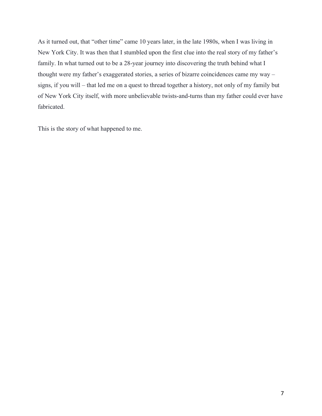As it turned out, that "other time" came 10 years later, in the late 1980s, when I was living in New York City. It was then that I stumbled upon the first clue into the real story of my father's family. In what turned out to be a 28-year journey into discovering the truth behind what I thought were my father's exaggerated stories, a series of bizarre coincidences came my way – signs, if you will – that led me on a quest to thread together a history, not only of my family but of New York City itself, with more unbelievable twists-and-turns than my father could ever have fabricated.

This is the story of what happened to me.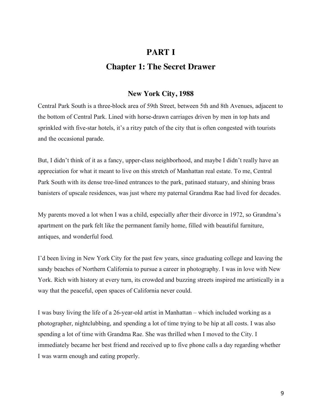## **PART I Chapter 1: The Secret Drawer**

## **New York City, 1988**

Central Park South is a three-block area of 59th Street, between 5th and 8th Avenues, adjacent to the bottom of Central Park. Lined with horse-drawn carriages driven by men in top hats and sprinkled with five-star hotels, it's a ritzy patch of the city that is often congested with tourists and the occasional parade.

But, I didn't think of it as a fancy, upper-class neighborhood, and maybe I didn't really have an appreciation for what it meant to live on this stretch of Manhattan real estate. To me, Central Park South with its dense tree-lined entrances to the park, patinaed statuary, and shining brass banisters of upscale residences, was just where my paternal Grandma Rae had lived for decades.

My parents moved a lot when I was a child, especially after their divorce in 1972, so Grandma's apartment on the park felt like the permanent family home, filled with beautiful furniture, antiques, and wonderful food.

I'd been living in New York City for the past few years, since graduating college and leaving the sandy beaches of Northern California to pursue a career in photography. I was in love with New York. Rich with history at every turn, its crowded and buzzing streets inspired me artistically in a way that the peaceful, open spaces of California never could.

I was busy living the life of a 26-year-old artist in Manhattan – which included working as a photographer, nightclubbing, and spending a lot of time trying to be hip at all costs. I was also spending a lot of time with Grandma Rae. She was thrilled when I moved to the City. I immediately became her best friend and received up to five phone calls a day regarding whether I was warm enough and eating properly.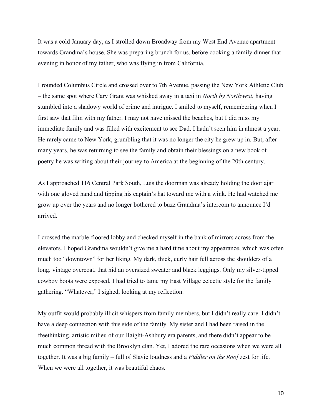It was a cold January day, as I strolled down Broadway from my West End Avenue apartment towards Grandma's house. She was preparing brunch for us, before cooking a family dinner that evening in honor of my father, who was flying in from California.

I rounded Columbus Circle and crossed over to 7th Avenue, passing the New York Athletic Club – the same spot where Cary Grant was whisked away in a taxi in *North by Northwest*, having stumbled into a shadowy world of crime and intrigue. I smiled to myself, remembering when I first saw that film with my father. I may not have missed the beaches, but I did miss my immediate family and was filled with excitement to see Dad. I hadn't seen him in almost a year. He rarely came to New York, grumbling that it was no longer the city he grew up in. But, after many years, he was returning to see the family and obtain their blessings on a new book of poetry he was writing about their journey to America at the beginning of the 20th century.

As I approached 116 Central Park South, Luis the doorman was already holding the door ajar with one gloved hand and tipping his captain's hat toward me with a wink. He had watched me grow up over the years and no longer bothered to buzz Grandma's intercom to announce I'd arrived.

I crossed the marble-floored lobby and checked myself in the bank of mirrors across from the elevators. I hoped Grandma wouldn't give me a hard time about my appearance, which was often much too "downtown" for her liking. My dark, thick, curly hair fell across the shoulders of a long, vintage overcoat, that hid an oversized sweater and black leggings. Only my silver-tipped cowboy boots were exposed. I had tried to tame my East Village eclectic style for the family gathering. "Whatever," I sighed, looking at my reflection.

My outfit would probably illicit whispers from family members, but I didn't really care. I didn't have a deep connection with this side of the family. My sister and I had been raised in the freethinking, artistic milieu of our Haight-Ashbury era parents, and there didn't appear to be much common thread with the Brooklyn clan. Yet, I adored the rare occasions when we were all together. It was a big family – full of Slavic loudness and a *Fiddler on the Roof* zest for life. When we were all together, it was beautiful chaos.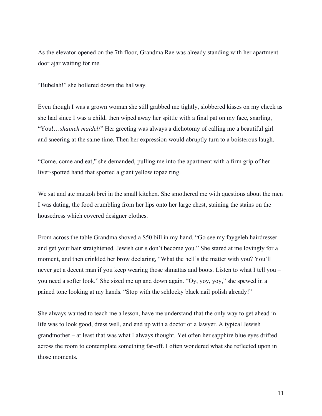As the elevator opened on the 7th floor, Grandma Rae was already standing with her apartment door ajar waiting for me.

"Bubelah!" she hollered down the hallway.

Even though I was a grown woman she still grabbed me tightly, slobbered kisses on my cheek as she had since I was a child, then wiped away her spittle with a final pat on my face, snarling, "You!…*shaineh maidel!*" Her greeting was always a dichotomy of calling me a beautiful girl and sneering at the same time. Then her expression would abruptly turn to a boisterous laugh.

"Come, come and eat," she demanded, pulling me into the apartment with a firm grip of her liver-spotted hand that sported a giant yellow topaz ring.

We sat and ate matzoh brei in the small kitchen. She smothered me with questions about the men I was dating, the food crumbling from her lips onto her large chest, staining the stains on the housedress which covered designer clothes.

From across the table Grandma shoved a \$50 bill in my hand. "Go see my faygeleh hairdresser and get your hair straightened. Jewish curls don't become you." She stared at me lovingly for a moment, and then crinkled her brow declaring, "What the hell's the matter with you? You'll never get a decent man if you keep wearing those shmattas and boots. Listen to what I tell you – you need a softer look." She sized me up and down again. "Oy, yoy, yoy," she spewed in a pained tone looking at my hands. "Stop with the schlocky black nail polish already!"

She always wanted to teach me a lesson, have me understand that the only way to get ahead in life was to look good, dress well, and end up with a doctor or a lawyer. A typical Jewish grandmother – at least that was what I always thought. Yet often her sapphire blue eyes drifted across the room to contemplate something far-off. I often wondered what she reflected upon in those moments.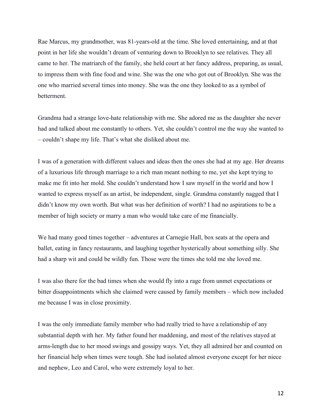Rae Marcus, my grandmother, was 81-years-old at the time. She loved entertaining, and at that point in her life she wouldn't dream of venturing down to Brooklyn to see relatives. They all came to her. The matriarch of the family, she held court at her fancy address, preparing, as usual, to impress them with fine food and wine. She was the one who got out of Brooklyn. She was the one who married several times into money. She was the one they looked to as a symbol of betterment.

Grandma had a strange love-hate relationship with me. She adored me as the daughter she never had and talked about me constantly to others. Yet, she couldn't control me the way she wanted to – couldn't shape my life. That's what she disliked about me.

I was of a generation with different values and ideas then the ones she had at my age. Her dreams of a luxurious life through marriage to a rich man meant nothing to me, yet she kept trying to make me fit into her mold. She couldn't understand how I saw myself in the world and how I wanted to express myself as an artist, be independent, single. Grandma constantly nagged that I didn't know my own worth. But what was her definition of worth? I had no aspirations to be a member of high society or marry a man who would take care of me financially.

We had many good times together – adventures at Carnegie Hall, box seats at the opera and ballet, eating in fancy restaurants, and laughing together hysterically about something silly. She had a sharp wit and could be wildly fun. Those were the times she told me she loved me.

I was also there for the bad times when she would fly into a rage from unmet expectations or bitter disappointments which she claimed were caused by family members – which now included me because I was in close proximity.

I was the only immediate family member who had really tried to have a relationship of any substantial depth with her. My father found her maddening, and most of the relatives stayed at arms-length due to her mood swings and gossipy ways. Yet, they all admired her and counted on her financial help when times were tough. She had isolated almost everyone except for her niece and nephew, Leo and Carol, who were extremely loyal to her.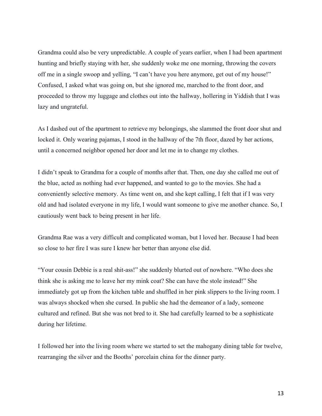Grandma could also be very unpredictable. A couple of years earlier, when I had been apartment hunting and briefly staying with her, she suddenly woke me one morning, throwing the covers off me in a single swoop and yelling, "I can't have you here anymore, get out of my house!" Confused, I asked what was going on, but she ignored me, marched to the front door, and proceeded to throw my luggage and clothes out into the hallway, hollering in Yiddish that I was lazy and ungrateful.

As I dashed out of the apartment to retrieve my belongings, she slammed the front door shut and locked it. Only wearing pajamas, I stood in the hallway of the 7th floor, dazed by her actions, until a concerned neighbor opened her door and let me in to change my clothes.

I didn't speak to Grandma for a couple of months after that. Then, one day she called me out of the blue, acted as nothing had ever happened, and wanted to go to the movies. She had a conveniently selective memory. As time went on, and she kept calling, I felt that if I was very old and had isolated everyone in my life, I would want someone to give me another chance. So, I cautiously went back to being present in her life.

Grandma Rae was a very difficult and complicated woman, but I loved her. Because I had been so close to her fire I was sure I knew her better than anyone else did.

"Your cousin Debbie is a real shit-ass!" she suddenly blurted out of nowhere. "Who does she think she is asking me to leave her my mink coat? She can have the stole instead!" She immediately got up from the kitchen table and shuffled in her pink slippers to the living room. I was always shocked when she cursed. In public she had the demeanor of a lady, someone cultured and refined. But she was not bred to it. She had carefully learned to be a sophisticate during her lifetime.

I followed her into the living room where we started to set the mahogany dining table for twelve, rearranging the silver and the Booths' porcelain china for the dinner party.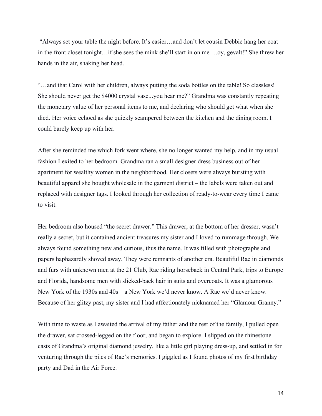"Always set your table the night before. It's easier…and don't let cousin Debbie hang her coat in the front closet tonight…if she sees the mink she'll start in on me …oy, gevalt!" She threw her hands in the air, shaking her head.

"…and that Carol with her children, always putting the soda bottles on the table! So classless! She should never get the \$4000 crystal vase...you hear me?" Grandma was constantly repeating the monetary value of her personal items to me, and declaring who should get what when she died. Her voice echoed as she quickly scampered between the kitchen and the dining room. I could barely keep up with her.

After she reminded me which fork went where, she no longer wanted my help, and in my usual fashion I exited to her bedroom. Grandma ran a small designer dress business out of her apartment for wealthy women in the neighborhood. Her closets were always bursting with beautiful apparel she bought wholesale in the garment district – the labels were taken out and replaced with designer tags. I looked through her collection of ready-to-wear every time I came to visit.

Her bedroom also housed "the secret drawer." This drawer, at the bottom of her dresser, wasn't really a secret, but it contained ancient treasures my sister and I loved to rummage through. We always found something new and curious, thus the name. It was filled with photographs and papers haphazardly shoved away. They were remnants of another era. Beautiful Rae in diamonds and furs with unknown men at the 21 Club, Rae riding horseback in Central Park, trips to Europe and Florida, handsome men with slicked-back hair in suits and overcoats. It was a glamorous New York of the 1930s and 40s – a New York we'd never know. A Rae we'd never know. Because of her glitzy past, my sister and I had affectionately nicknamed her "Glamour Granny."

With time to waste as I awaited the arrival of my father and the rest of the family, I pulled open the drawer, sat crossed-legged on the floor, and began to explore. I slipped on the rhinestone casts of Grandma's original diamond jewelry, like a little girl playing dress-up, and settled in for venturing through the piles of Rae's memories. I giggled as I found photos of my first birthday party and Dad in the Air Force.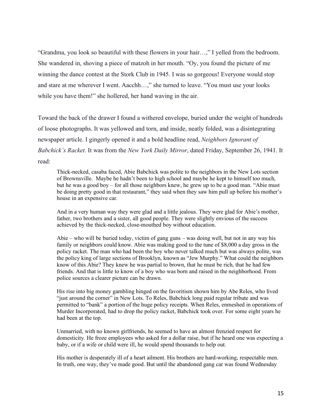"Grandma, you look so beautiful with these flowers in your hair…," I yelled from the bedroom. She wandered in, shoving a piece of matzoh in her mouth. "Oy, you found the picture of me winning the dance contest at the Stork Club in 1945. I was so gorgeous! Everyone would stop and stare at me wherever I went. Aacchh…," she turned to leave. "You must use your looks while you have them!" she hollered, her hand waving in the air.

Toward the back of the drawer I found a withered envelope, buried under the weight of hundreds of loose photographs. It was yellowed and torn, and inside, neatly folded, was a disintegrating newspaper article. I gingerly opened it and a bold headline read, *Neighbors Ignorant of Babchick's Racket.* It was from the *New York Daily Mirror*, dated Friday, September 26, 1941. It read:

Thick-necked, casaba faced, Abie Babchick was polite to the neighbors in the New Lots section of Brownsville. Maybe he hadn't been to high school and maybe he kept to himself too much, but he was a good boy – for all those neighbors knew, he grew up to be a good man. "Abie must be doing pretty good in that restaurant," they said when they saw him pull up before his mother's house in an expensive car.

And in a very human way they were glad and a little jealous. They were glad for Abie's mother, father, two brothers and a sister, all good people. They were slightly envious of the success achieved by the thick-necked, close-mouthed boy without education.

Abie – who will be buried today, victim of gang guns – was doing well, but not in any way his family or neighbors could know. Abie was making good to the tune of \$8,000 a day gross in the policy racket. The man who had been the boy who never talked much but was always polite, was the policy king of large sections of Brooklyn, known as "Jew Murphy." What could the neighbors know of this Abie? They knew he was partial to brown, that he must be rich, that he had few friends. And that is little to know of a boy who was born and raised in the neighborhood. From police sources a clearer picture can be drawn.

His rise into big money gambling hinged on the favoritism shown him by Abe Reles, who lived "just around the corner" in New Lots. To Reles, Babchick long paid regular tribute and was permitted to "bank" a portion of the huge policy receipts. When Reles, enmeshed in operations of Murder Incorporated, had to drop the policy racket, Babchick took over. For some eight years he had been at the top.

Unmarried, with no known girlfriends, he seemed to have an almost frenzied respect for domesticity. He froze employees who asked for a dollar raise, but if he heard one was expecting a baby, or if a wife or child were ill, he would spend thousands to help out.

His mother is desperately ill of a heart ailment. His brothers are hard-working, respectable men. In truth, one way, they've made good. But until the abandoned gang car was found Wednesday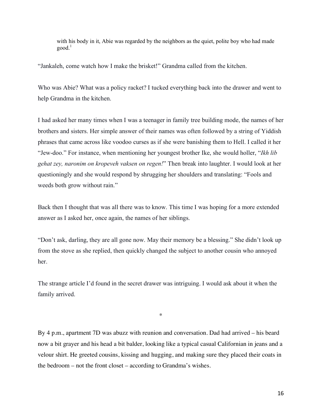with his body in it, Abie was regarded by the neighbors as the quiet, polite boy who had made  $\text{good}$ <sup>1</sup>

"Jankaleh, come watch how I make the brisket!" Grandma called from the kitchen.

Who was Abie? What was a policy racket? I tucked everything back into the drawer and went to help Grandma in the kitchen.

I had asked her many times when I was a teenager in family tree building mode, the names of her brothers and sisters. Her simple answer of their names was often followed by a string of Yiddish phrases that came across like voodoo curses as if she were banishing them to Hell. I called it her "Jew-doo." For instance, when mentioning her youngest brother Ike, she would holler, "*Ikh lib gehat zey, naronim on kropeveh vaksen on regen!*" Then break into laughter. I would look at her questioningly and she would respond by shrugging her shoulders and translating: "Fools and weeds both grow without rain."

Back then I thought that was all there was to know. This time I was hoping for a more extended answer as I asked her, once again, the names of her siblings.

"Don't ask, darling, they are all gone now. May their memory be a blessing." She didn't look up from the stove as she replied, then quickly changed the subject to another cousin who annoyed her.

The strange article I'd found in the secret drawer was intriguing. I would ask about it when the family arrived.

\*

By 4 p.m., apartment 7D was abuzz with reunion and conversation. Dad had arrived – his beard now a bit grayer and his head a bit balder, looking like a typical casual Californian in jeans and a velour shirt. He greeted cousins, kissing and hugging, and making sure they placed their coats in the bedroom – not the front closet – according to Grandma's wishes.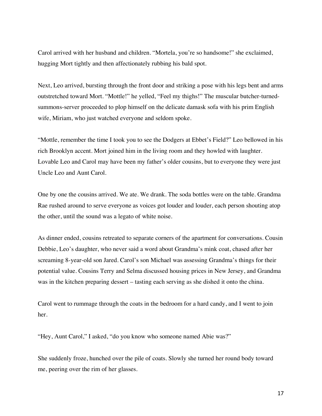Carol arrived with her husband and children. "Mortela, you're so handsome!" she exclaimed, hugging Mort tightly and then affectionately rubbing his bald spot.

Next, Leo arrived, bursting through the front door and striking a pose with his legs bent and arms outstretched toward Mort. "Mottle!" he yelled, "Feel my thighs!" The muscular butcher-turnedsummons-server proceeded to plop himself on the delicate damask sofa with his prim English wife, Miriam, who just watched everyone and seldom spoke.

"Mottle, remember the time I took you to see the Dodgers at Ebbet's Field?" Leo bellowed in his rich Brooklyn accent. Mort joined him in the living room and they howled with laughter. Lovable Leo and Carol may have been my father's older cousins, but to everyone they were just Uncle Leo and Aunt Carol.

One by one the cousins arrived. We ate. We drank. The soda bottles were on the table. Grandma Rae rushed around to serve everyone as voices got louder and louder, each person shouting atop the other, until the sound was a legato of white noise.

As dinner ended, cousins retreated to separate corners of the apartment for conversations. Cousin Debbie, Leo's daughter, who never said a word about Grandma's mink coat, chased after her screaming 8-year-old son Jared. Carol's son Michael was assessing Grandma's things for their potential value. Cousins Terry and Selma discussed housing prices in New Jersey, and Grandma was in the kitchen preparing dessert – tasting each serving as she dished it onto the china.

Carol went to rummage through the coats in the bedroom for a hard candy, and I went to join her.

"Hey, Aunt Carol," I asked, "do you know who someone named Abie was?"

She suddenly froze, hunched over the pile of coats. Slowly she turned her round body toward me, peering over the rim of her glasses.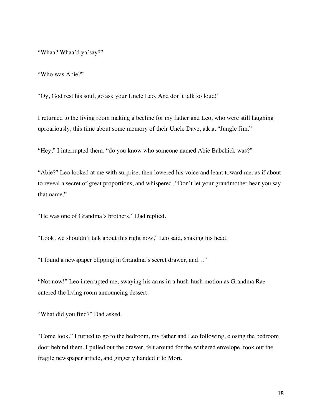"Whaa? Whaa'd ya'say?"

"Who was Abie?"

"Oy, God rest his soul, go ask your Uncle Leo. And don't talk so loud!"

I returned to the living room making a beeline for my father and Leo, who were still laughing uproariously, this time about some memory of their Uncle Dave, a.k.a. "Jungle Jim."

"Hey," I interrupted them, "do you know who someone named Abie Babchick was?"

"Abie?" Leo looked at me with surprise, then lowered his voice and leant toward me, as if about to reveal a secret of great proportions, and whispered, "Don't let your grandmother hear you say that name."

"He was one of Grandma's brothers," Dad replied.

"Look, we shouldn't talk about this right now," Leo said, shaking his head.

"I found a newspaper clipping in Grandma's secret drawer, and…"

"Not now!" Leo interrupted me, swaying his arms in a hush-hush motion as Grandma Rae entered the living room announcing dessert.

"What did you find?" Dad asked.

"Come look," I turned to go to the bedroom, my father and Leo following, closing the bedroom door behind them. I pulled out the drawer, felt around for the withered envelope, took out the fragile newspaper article, and gingerly handed it to Mort.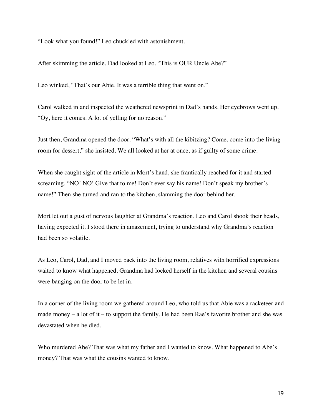"Look what you found!" Leo chuckled with astonishment.

After skimming the article, Dad looked at Leo. "This is OUR Uncle Abe?"

Leo winked, "That's our Abie. It was a terrible thing that went on."

Carol walked in and inspected the weathered newsprint in Dad's hands. Her eyebrows went up. "Oy, here it comes. A lot of yelling for no reason."

Just then, Grandma opened the door. "What's with all the kibitzing? Come, come into the living room for dessert," she insisted. We all looked at her at once, as if guilty of some crime.

When she caught sight of the article in Mort's hand, she frantically reached for it and started screaming, "NO! NO! Give that to me! Don't ever say his name! Don't speak my brother's name!" Then she turned and ran to the kitchen, slamming the door behind her.

Mort let out a gust of nervous laughter at Grandma's reaction. Leo and Carol shook their heads, having expected it. I stood there in amazement, trying to understand why Grandma's reaction had been so volatile.

As Leo, Carol, Dad, and I moved back into the living room, relatives with horrified expressions waited to know what happened. Grandma had locked herself in the kitchen and several cousins were banging on the door to be let in.

In a corner of the living room we gathered around Leo, who told us that Abie was a racketeer and made money – a lot of it – to support the family. He had been Rae's favorite brother and she was devastated when he died.

Who murdered Abe? That was what my father and I wanted to know. What happened to Abe's money? That was what the cousins wanted to know.